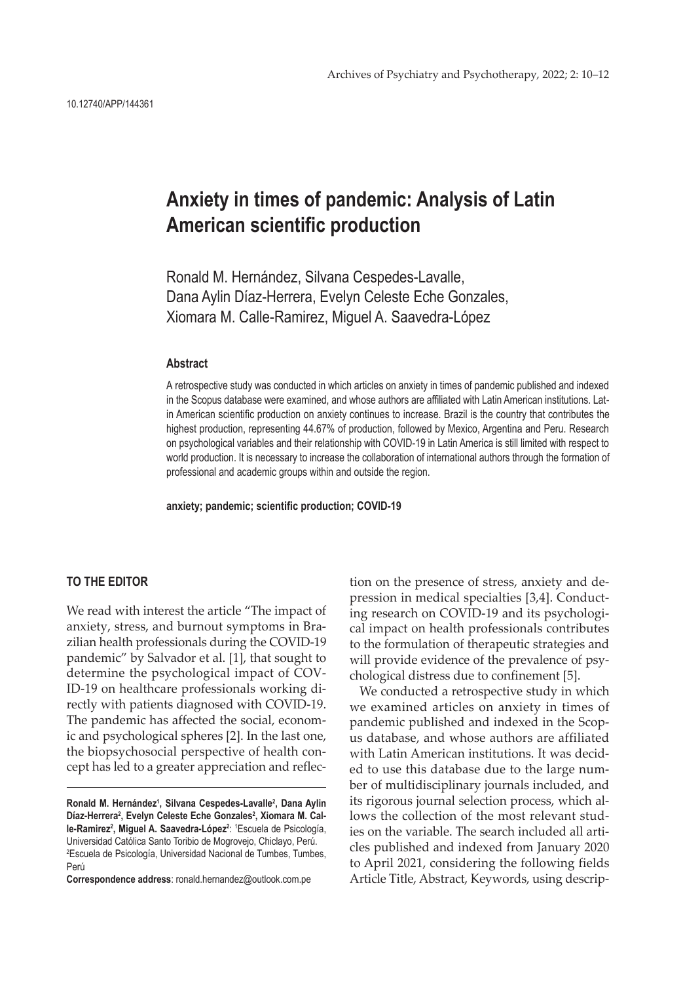## **Anxiety in times of pandemic: Analysis of Latin American scientific production**

Ronald M. Hernández, Silvana Cespedes-Lavalle, Dana Aylin Díaz-Herrera, Evelyn Celeste Eche Gonzales, Xiomara M. Calle-Ramirez, Miguel A. Saavedra-López

## **Abstract**

A retrospective study was conducted in which articles on anxiety in times of pandemic published and indexed in the Scopus database were examined, and whose authors are affiliated with Latin American institutions. Latin American scientific production on anxiety continues to increase. Brazil is the country that contributes the highest production, representing 44.67% of production, followed by Mexico, Argentina and Peru. Research on psychological variables and their relationship with COVID-19 in Latin America is still limited with respect to world production. It is necessary to increase the collaboration of international authors through the formation of professional and academic groups within and outside the region.

**anxiety; pandemic; scientific production; COVID-19**

## **TO THE EDITOR**

We read with interest the article "The impact of anxiety, stress, and burnout symptoms in Brazilian health professionals during the COVID-19 pandemic" by Salvador et al. [1], that sought to determine the psychological impact of COV-ID-19 on healthcare professionals working directly with patients diagnosed with COVID-19. The pandemic has affected the social, economic and psychological spheres [2]. In the last one, the biopsychosocial perspective of health concept has led to a greater appreciation and reflec-

**Correspondence address**: ronald.hernandez@outlook.com.pe

tion on the presence of stress, anxiety and depression in medical specialties [3,4]. Conducting research on COVID-19 and its psychological impact on health professionals contributes to the formulation of therapeutic strategies and will provide evidence of the prevalence of psychological distress due to confinement [5].

We conducted a retrospective study in which we examined articles on anxiety in times of pandemic published and indexed in the Scopus database, and whose authors are affiliated with Latin American institutions. It was decided to use this database due to the large number of multidisciplinary journals included, and its rigorous journal selection process, which allows the collection of the most relevant studies on the variable. The search included all articles published and indexed from January 2020 to April 2021, considering the following fields Article Title, Abstract, Keywords, using descrip-

**Ronald M. Hernández1 , Silvana Cespedes-Lavalle2 , Dana Aylin**  Díaz-Herrera<sup>2</sup>, Evelyn Celeste Eche Gonzales<sup>2</sup>, Xiomara M. Calle-Ramirez<sup>2</sup>, Miguel A. Saavedra-López<sup>2</sup>: <sup>1</sup>Escuela de Psicología, Universidad Católica Santo Toribio de Mogrovejo, Chiclayo, Perú. 2 Escuela de Psicología, Universidad Nacional de Tumbes, Tumbes, Perú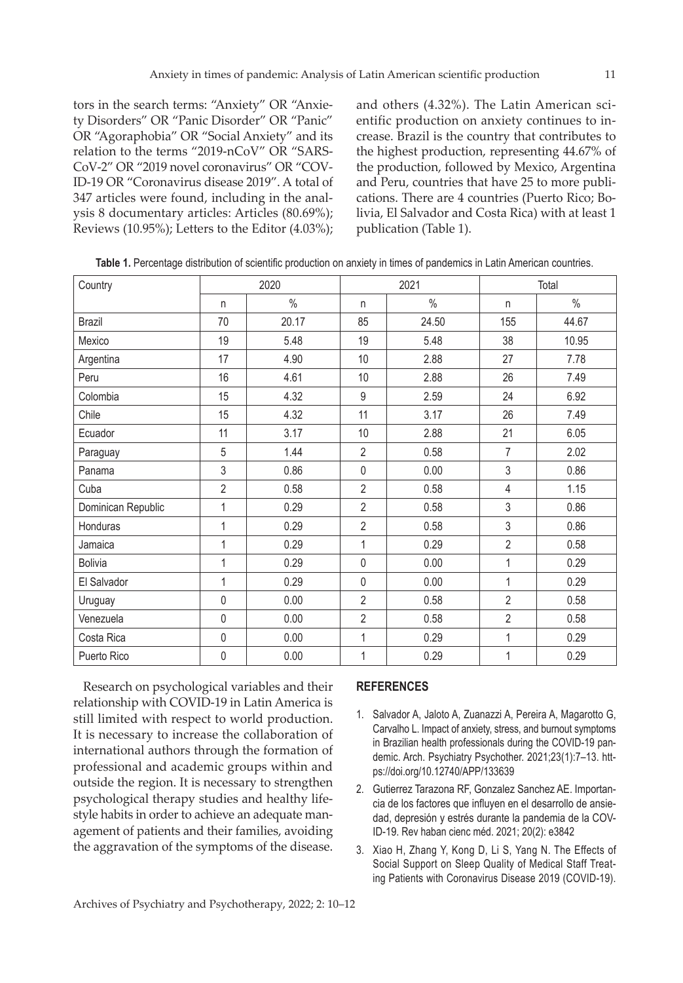tors in the search terms: "Anxiety" OR "Anxiety Disorders" OR "Panic Disorder" OR "Panic" OR "Agoraphobia" OR "Social Anxiety" and its relation to the terms "2019-nCoV" OR "SARS-CoV-2" OR "2019 novel coronavirus" OR "COV-ID-19 OR "Coronavirus disease 2019". A total of 347 articles were found, including in the analysis 8 documentary articles: Articles (80.69%); Reviews (10.95%); Letters to the Editor (4.03%);

and others (4.32%). The Latin American scientific production on anxiety continues to increase. Brazil is the country that contributes to the highest production, representing 44.67% of the production, followed by Mexico, Argentina and Peru, countries that have 25 to more publications. There are 4 countries (Puerto Rico; Bolivia, El Salvador and Costa Rica) with at least 1 publication (Table 1).

| Country            | 2020           |       | 2021           |               | Total                    |       |
|--------------------|----------------|-------|----------------|---------------|--------------------------|-------|
|                    | n              | $\%$  | n              | $\frac{0}{0}$ | n.                       | $\%$  |
| <b>Brazil</b>      | 70             | 20.17 | 85             | 24.50         | 155                      | 44.67 |
| Mexico             | 19             | 5.48  | 19             | 5.48          | 38                       | 10.95 |
| Argentina          | 17             | 4.90  | 10             | 2.88          | 27                       | 7.78  |
| Peru               | 16             | 4.61  | 10             | 2.88          | 26                       | 7.49  |
| Colombia           | 15             | 4.32  | $9\,$          | 2.59          | 24                       | 6.92  |
| Chile              | 15             | 4.32  | 11             | 3.17          | 26                       | 7.49  |
| Ecuador            | 11             | 3.17  | 10             | 2.88          | 21                       | 6.05  |
| Paraguay           | 5              | 1.44  | $\overline{2}$ | 0.58          | $\overline{7}$           | 2.02  |
| Panama             | $\mathfrak{Z}$ | 0.86  | $\mathbf 0$    | 0.00          | $\overline{3}$           | 0.86  |
| Cuba               | $\overline{2}$ | 0.58  | $\overline{2}$ | 0.58          | $\overline{\mathcal{L}}$ | 1.15  |
| Dominican Republic | 1              | 0.29  | $\overline{2}$ | 0.58          | 3                        | 0.86  |
| Honduras           | 1              | 0.29  | $\overline{2}$ | 0.58          | 3                        | 0.86  |
| Jamaica            | 1              | 0.29  | $\mathbf{1}$   | 0.29          | $\overline{2}$           | 0.58  |
| <b>Bolivia</b>     | 1              | 0.29  | $\pmb{0}$      | 0.00          | 1                        | 0.29  |
| El Salvador        | 1              | 0.29  | $\pmb{0}$      | 0.00          | 1                        | 0.29  |
| Uruguay            | $\pmb{0}$      | 0.00  | $\overline{2}$ | 0.58          | $\overline{2}$           | 0.58  |
| Venezuela          | $\pmb{0}$      | 0.00  | $\overline{2}$ | 0.58          | $\overline{2}$           | 0.58  |
| Costa Rica         | $\pmb{0}$      | 0.00  | 1              | 0.29          | 1                        | 0.29  |
| Puerto Rico        | $\mathbf 0$    | 0.00  | 1              | 0.29          | 1                        | 0.29  |

**Table 1.** Percentage distribution of scientific production on anxiety in times of pandemics in Latin American countries.

Research on psychological variables and their relationship with COVID-19 in Latin America is still limited with respect to world production. It is necessary to increase the collaboration of international authors through the formation of professional and academic groups within and outside the region. It is necessary to strengthen psychological therapy studies and healthy lifestyle habits in order to achieve an adequate management of patients and their families, avoiding the aggravation of the symptoms of the disease.

## **REFERENCES**

- 1. Salvador A, Jaloto A, Zuanazzi A, Pereira A, Magarotto G, Carvalho L. Impact of anxiety, stress, and burnout symptoms in Brazilian health professionals during the COVID-19 pandemic. Arch. Psychiatry Psychother. 2021;23(1):7–13. https://doi.org/10.12740/APP/133639
- 2. Gutierrez Tarazona RF, Gonzalez Sanchez AE. Importancia de los factores que influyen en el desarrollo de ansiedad, depresión y estrés durante la pandemia de la COV-ID-19. Rev haban cienc méd. 2021; 20(2): e3842
- 3. Xiao H, Zhang Y, Kong D, Li S, Yang N. The Effects of Social Support on Sleep Quality of Medical Staff Treating Patients with Coronavirus Disease 2019 (COVID-19).